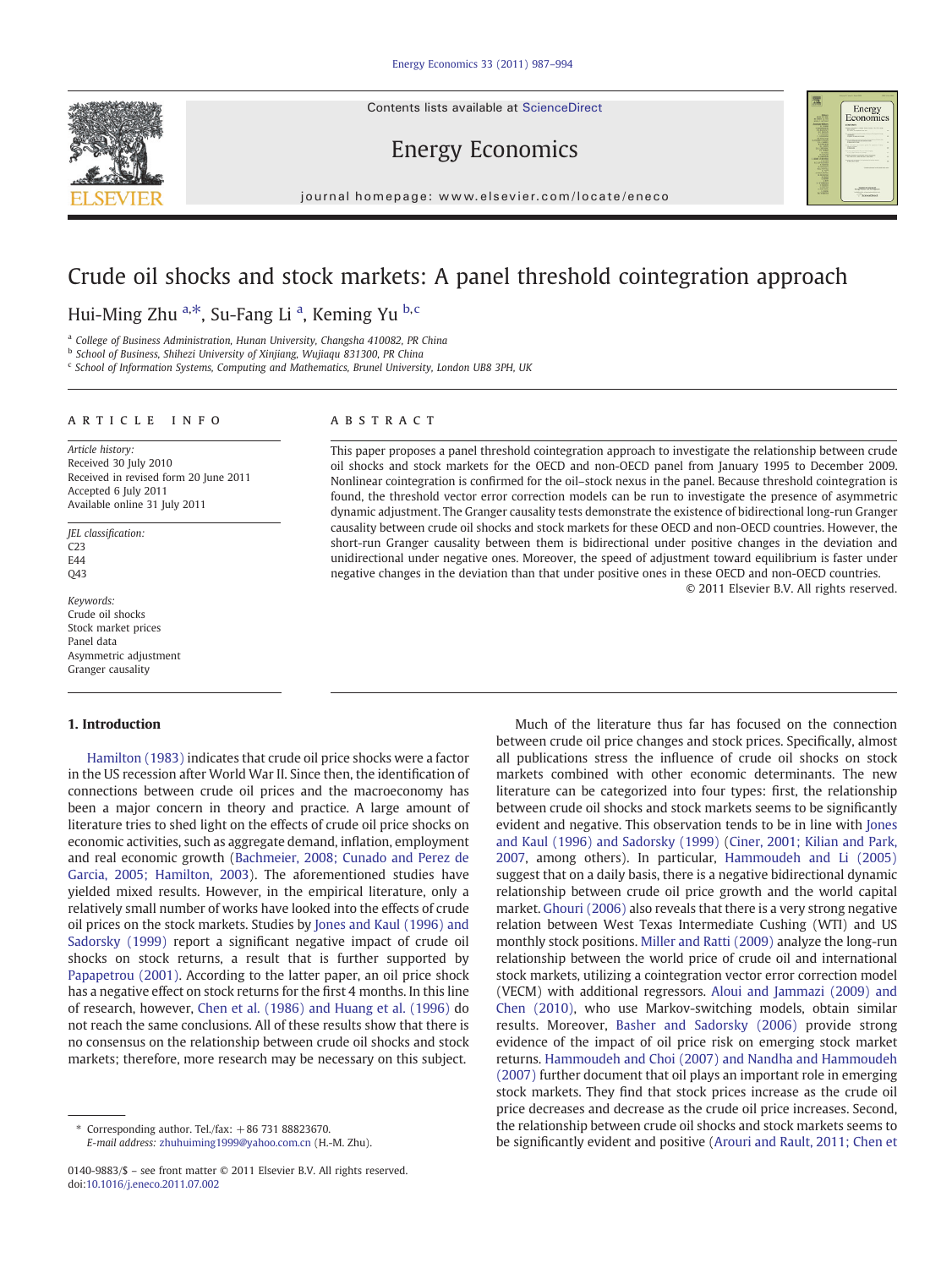Contents lists available at ScienceDirect





# Energy Economics

journal homepage: www.elsevier.com/locate/eneco

# Crude oil shocks and stock markets: A panel threshold cointegration approach

## Hui-Ming Zhu <sup>a,\*</sup>, Su-Fang Li <sup>a</sup>, Keming Yu <sup>b,c</sup>

<sup>a</sup> College of Business Administration, Hunan University, Changsha 410082, PR China

<sup>b</sup> School of Business, Shihezi University of Xinjiang, Wujiaqu 831300, PR China

<sup>c</sup> School of Information Systems, Computing and Mathematics, Brunel University, London UB8 3PH, UK

### article info abstract

Article history: Received 30 July 2010 Received in revised form 20 June 2011 Accepted 6 July 2011 Available online 31 July 2011

JEL classification: C<sub>23</sub> E<sub>44</sub> Q43

Keywords: Crude oil shocks Stock market prices Panel data Asymmetric adjustment Granger causality

### 1. Introduction

[Hamilton \(1983\)](#page--1-0) indicates that crude oil price shocks were a factor in the US recession after World War II. Since then, the identification of connections between crude oil prices and the macroeconomy has been a major concern in theory and practice. A large amount of literature tries to shed light on the effects of crude oil price shocks on economic activities, such as aggregate demand, inflation, employment and real economic growth [\(Bachmeier, 2008; Cunado and Perez de](#page--1-0) [Garcia, 2005; Hamilton, 2003\)](#page--1-0). The aforementioned studies have yielded mixed results. However, in the empirical literature, only a relatively small number of works have looked into the effects of crude oil prices on the stock markets. Studies by [Jones and Kaul \(1996\) and](#page--1-0) [Sadorsky \(1999\)](#page--1-0) report a significant negative impact of crude oil shocks on stock returns, a result that is further supported by [Papapetrou \(2001\)](#page--1-0). According to the latter paper, an oil price shock has a negative effect on stock returns for the first 4 months. In this line of research, however, [Chen et al. \(1986\) and Huang et al. \(1996\)](#page--1-0) do not reach the same conclusions. All of these results show that there is no consensus on the relationship between crude oil shocks and stock markets; therefore, more research may be necessary on this subject.

This paper proposes a panel threshold cointegration approach to investigate the relationship between crude oil shocks and stock markets for the OECD and non-OECD panel from January 1995 to December 2009. Nonlinear cointegration is confirmed for the oil–stock nexus in the panel. Because threshold cointegration is found, the threshold vector error correction models can be run to investigate the presence of asymmetric dynamic adjustment. The Granger causality tests demonstrate the existence of bidirectional long-run Granger causality between crude oil shocks and stock markets for these OECD and non-OECD countries. However, the short-run Granger causality between them is bidirectional under positive changes in the deviation and unidirectional under negative ones. Moreover, the speed of adjustment toward equilibrium is faster under negative changes in the deviation than that under positive ones in these OECD and non-OECD countries.

© 2011 Elsevier B.V. All rights reserved.

Much of the literature thus far has focused on the connection between crude oil price changes and stock prices. Specifically, almost all publications stress the influence of crude oil shocks on stock markets combined with other economic determinants. The new literature can be categorized into four types: first, the relationship between crude oil shocks and stock markets seems to be significantly evident and negative. This observation tends to be in line with [Jones](#page--1-0) [and Kaul \(1996\) and Sadorsky \(1999\)](#page--1-0) ([Ciner, 2001; Kilian and Park,](#page--1-0) [2007,](#page--1-0) among others). In particular, [Hammoudeh and Li \(2005\)](#page--1-0) suggest that on a daily basis, there is a negative bidirectional dynamic relationship between crude oil price growth and the world capital market. [Ghouri \(2006\)](#page--1-0) also reveals that there is a very strong negative relation between West Texas Intermediate Cushing (WTI) and US monthly stock positions. [Miller and Ratti \(2009\)](#page--1-0) analyze the long-run relationship between the world price of crude oil and international stock markets, utilizing a cointegration vector error correction model (VECM) with additional regressors. [Aloui and Jammazi \(2009\) and](#page--1-0) [Chen \(2010\)](#page--1-0), who use Markov-switching models, obtain similar results. Moreover, [Basher and Sadorsky \(2006\)](#page--1-0) provide strong evidence of the impact of oil price risk on emerging stock market returns. [Hammoudeh and Choi \(2007\) and Nandha and Hammoudeh](#page--1-0) [\(2007\)](#page--1-0) further document that oil plays an important role in emerging stock markets. They find that stock prices increase as the crude oil price decreases and decrease as the crude oil price increases. Second, the relationship between crude oil shocks and stock markets seems to be significantly evident and positive [\(Arouri and Rault, 2011; Chen et](#page--1-0)

Corresponding author. Tel./fax:  $+86$  731 88823670. E-mail address: [zhuhuiming1999@yahoo.com.cn](mailto:zhuhuiming1999@yahoo.com.cn) (H.-M. Zhu).

<sup>0140-9883/\$</sup> – see front matter © 2011 Elsevier B.V. All rights reserved. doi:[10.1016/j.eneco.2011.07.002](http://dx.doi.org/10.1016/j.eneco.2011.07.002)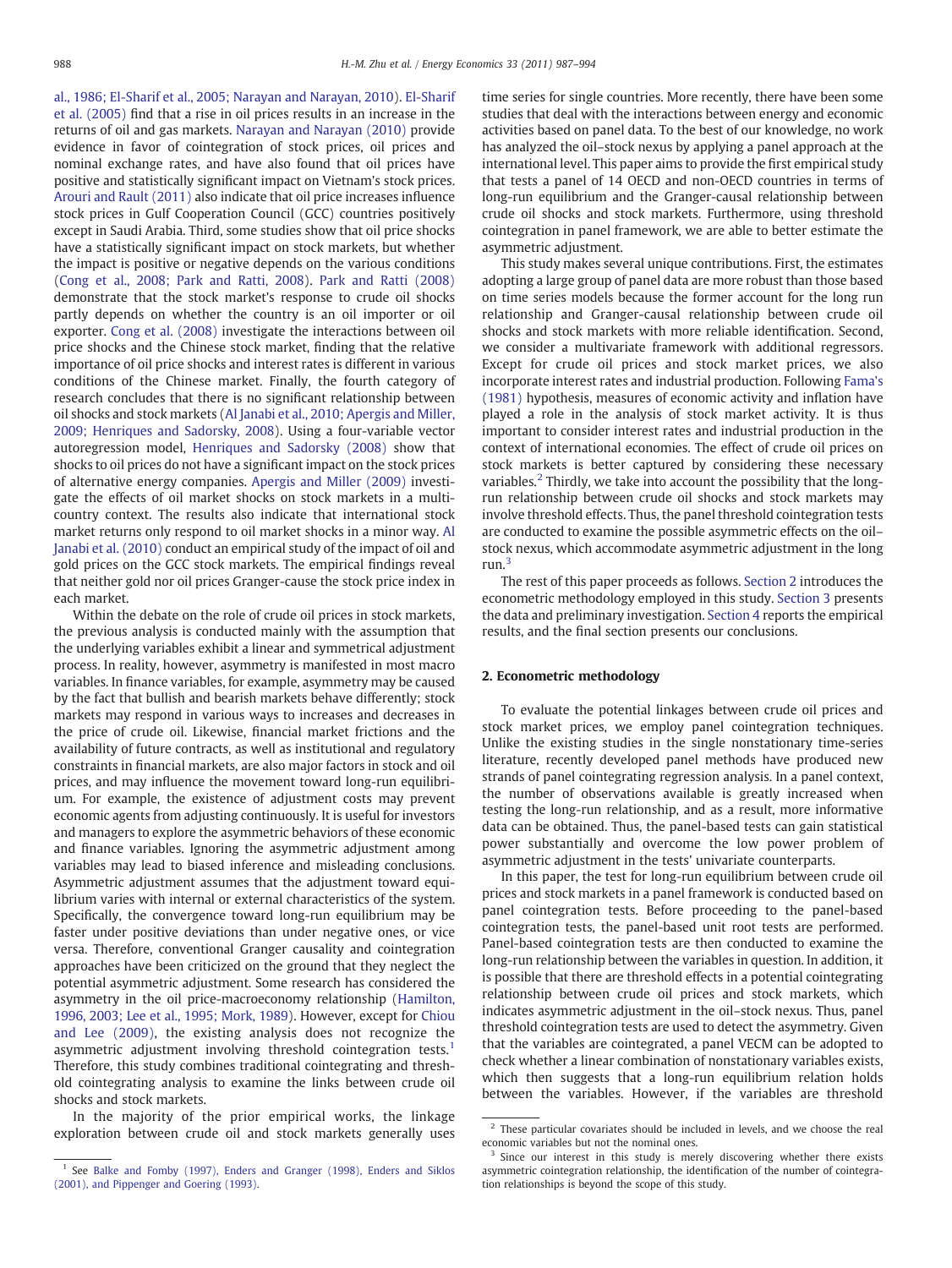[al., 1986; El-Sharif et al., 2005; Narayan and Narayan, 2010](#page--1-0)). [El-Sharif](#page--1-0) [et al. \(2005\)](#page--1-0) find that a rise in oil prices results in an increase in the returns of oil and gas markets. [Narayan and Narayan \(2010\)](#page--1-0) provide evidence in favor of cointegration of stock prices, oil prices and nominal exchange rates, and have also found that oil prices have positive and statistically significant impact on Vietnam's stock prices. [Arouri and Rault \(2011\)](#page--1-0) also indicate that oil price increases influence stock prices in Gulf Cooperation Council (GCC) countries positively except in Saudi Arabia. Third, some studies show that oil price shocks have a statistically significant impact on stock markets, but whether the impact is positive or negative depends on the various conditions [\(Cong et al., 2008; Park and Ratti, 2008](#page--1-0)). [Park and Ratti \(2008\)](#page--1-0) demonstrate that the stock market's response to crude oil shocks partly depends on whether the country is an oil importer or oil exporter. [Cong et al. \(2008\)](#page--1-0) investigate the interactions between oil price shocks and the Chinese stock market, finding that the relative importance of oil price shocks and interest rates is different in various conditions of the Chinese market. Finally, the fourth category of research concludes that there is no significant relationship between oil shocks and stock markets ([Al Janabi et al., 2010; Apergis and Miller,](#page--1-0) [2009; Henriques and Sadorsky, 2008\)](#page--1-0). Using a four-variable vector autoregression model, [Henriques and Sadorsky \(2008\)](#page--1-0) show that shocks to oil prices do not have a significant impact on the stock prices of alternative energy companies. [Apergis and Miller \(2009\)](#page--1-0) investigate the effects of oil market shocks on stock markets in a multicountry context. The results also indicate that international stock market returns only respond to oil market shocks in a minor way. [Al](#page--1-0) [Janabi et al. \(2010\)](#page--1-0) conduct an empirical study of the impact of oil and gold prices on the GCC stock markets. The empirical findings reveal that neither gold nor oil prices Granger-cause the stock price index in each market.

Within the debate on the role of crude oil prices in stock markets, the previous analysis is conducted mainly with the assumption that the underlying variables exhibit a linear and symmetrical adjustment process. In reality, however, asymmetry is manifested in most macro variables. In finance variables, for example, asymmetry may be caused by the fact that bullish and bearish markets behave differently; stock markets may respond in various ways to increases and decreases in the price of crude oil. Likewise, financial market frictions and the availability of future contracts, as well as institutional and regulatory constraints in financial markets, are also major factors in stock and oil prices, and may influence the movement toward long-run equilibrium. For example, the existence of adjustment costs may prevent economic agents from adjusting continuously. It is useful for investors and managers to explore the asymmetric behaviors of these economic and finance variables. Ignoring the asymmetric adjustment among variables may lead to biased inference and misleading conclusions. Asymmetric adjustment assumes that the adjustment toward equilibrium varies with internal or external characteristics of the system. Specifically, the convergence toward long-run equilibrium may be faster under positive deviations than under negative ones, or vice versa. Therefore, conventional Granger causality and cointegration approaches have been criticized on the ground that they neglect the potential asymmetric adjustment. Some research has considered the asymmetry in the oil price-macroeconomy relationship ([Hamilton,](#page--1-0) [1996, 2003; Lee et al., 1995; Mork, 1989](#page--1-0)). However, except for [Chiou](#page--1-0) [and Lee \(2009\),](#page--1-0) the existing analysis does not recognize the asymmetric adjustment involving threshold cointegration tests.<sup>1</sup> Therefore, this study combines traditional cointegrating and threshold cointegrating analysis to examine the links between crude oil shocks and stock markets.

In the majority of the prior empirical works, the linkage exploration between crude oil and stock markets generally uses time series for single countries. More recently, there have been some studies that deal with the interactions between energy and economic activities based on panel data. To the best of our knowledge, no work has analyzed the oil–stock nexus by applying a panel approach at the international level. This paper aims to provide the first empirical study that tests a panel of 14 OECD and non-OECD countries in terms of long-run equilibrium and the Granger-causal relationship between crude oil shocks and stock markets. Furthermore, using threshold cointegration in panel framework, we are able to better estimate the asymmetric adjustment.

This study makes several unique contributions. First, the estimates adopting a large group of panel data are more robust than those based on time series models because the former account for the long run relationship and Granger-causal relationship between crude oil shocks and stock markets with more reliable identification. Second, we consider a multivariate framework with additional regressors. Except for crude oil prices and stock market prices, we also incorporate interest rates and industrial production. Following [Fama's](#page--1-0) [\(1981\)](#page--1-0) hypothesis, measures of economic activity and inflation have played a role in the analysis of stock market activity. It is thus important to consider interest rates and industrial production in the context of international economies. The effect of crude oil prices on stock markets is better captured by considering these necessary variables.<sup>2</sup> Thirdly, we take into account the possibility that the longrun relationship between crude oil shocks and stock markets may involve threshold effects. Thus, the panel threshold cointegration tests are conducted to examine the possible asymmetric effects on the oil– stock nexus, which accommodate asymmetric adjustment in the long run.<sup>3</sup>

The rest of this paper proceeds as follows. Section 2 introduces the econometric methodology employed in this study. [Section 3](#page--1-0) presents the data and preliminary investigation. [Section 4](#page--1-0) reports the empirical results, and the final section presents our conclusions.

#### 2. Econometric methodology

To evaluate the potential linkages between crude oil prices and stock market prices, we employ panel cointegration techniques. Unlike the existing studies in the single nonstationary time-series literature, recently developed panel methods have produced new strands of panel cointegrating regression analysis. In a panel context, the number of observations available is greatly increased when testing the long-run relationship, and as a result, more informative data can be obtained. Thus, the panel-based tests can gain statistical power substantially and overcome the low power problem of asymmetric adjustment in the tests' univariate counterparts.

In this paper, the test for long-run equilibrium between crude oil prices and stock markets in a panel framework is conducted based on panel cointegration tests. Before proceeding to the panel-based cointegration tests, the panel-based unit root tests are performed. Panel-based cointegration tests are then conducted to examine the long-run relationship between the variables in question. In addition, it is possible that there are threshold effects in a potential cointegrating relationship between crude oil prices and stock markets, which indicates asymmetric adjustment in the oil–stock nexus. Thus, panel threshold cointegration tests are used to detect the asymmetry. Given that the variables are cointegrated, a panel VECM can be adopted to check whether a linear combination of nonstationary variables exists, which then suggests that a long-run equilibrium relation holds between the variables. However, if the variables are threshold

<sup>&</sup>lt;sup>1</sup> See [Balke and Fomby \(1997\), Enders and Granger \(1998\), Enders and Siklos](#page--1-0) [\(2001\), and Pippenger and Goering \(1993\).](#page--1-0)

 $2$  These particular covariates should be included in levels, and we choose the real economic variables but not the nominal ones.

<sup>&</sup>lt;sup>3</sup> Since our interest in this study is merely discovering whether there exists asymmetric cointegration relationship, the identification of the number of cointegration relationships is beyond the scope of this study.